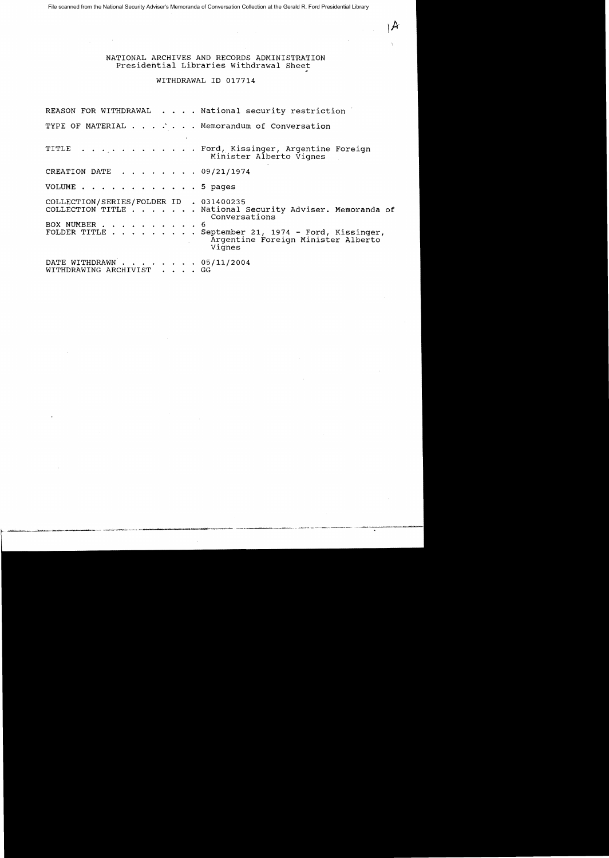File scanned from the National Security Adviser's Memoranda of Conversation Collection at the Gerald R. Ford Presidential Library

## NATIONAL ARCHIVES AND RECORDS ADMINISTRATION Presidential Libraries Withdrawal Sheet

~

### WITHDRAWAL ID 017714

REASON FOR WITHDRAWAL . . . . National security restriction TYPE OF MATERIAL . . . . . . Memorandum of Conversation TITLE . . . . . . . . . . . . Ford, Kissinger, Argentine Foreign Minister Alberto Vignes CREATION DATE  $\ldots$   $\ldots$   $\ldots$  09/21/1974 VOLUME . . . 5 pages COLLECTION/SERIES/FOLDER ID . 031400235 COLLECTION/SERIES/FOLDER ID . 031400235<br>COLLECTION TITLE . . . . . . . National Security Adviser. Memoranda of Conversations BOX NUMBER . . . . . . . . . . 6<br>FOLDER TITLE . . . . . . . . . S . September 21, 1974 - Ford, Kissinger, Argentine Foreign Minister Alberto Vignes DATE WITHDRAWN . . . . . . . . 05/11/2004<br>WITHDRAWING ARCHIVIST . . . . GG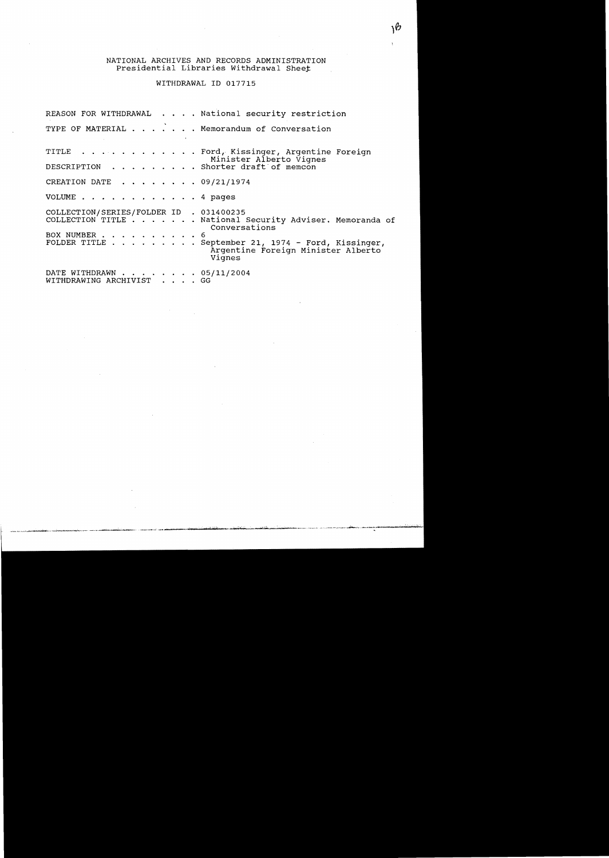# NATIONAL ARCHIVES AND RECORDS ADMINISTRATION<br>Presidential Libraries Withdrawal Sheet

WITHDRAWAL ID 017715

|                                                       | REASON FOR WITHDRAWAL National security restriction                                                        |  |
|-------------------------------------------------------|------------------------------------------------------------------------------------------------------------|--|
|                                                       | TYPE OF MATERIAL Memorandum of Conversation                                                                |  |
|                                                       | TITLE Ford, Kissinger, Argentine Foreign<br>Minister Alberto Vignes<br>DESCRIPTION Shorter draft of memcon |  |
|                                                       |                                                                                                            |  |
| CREATION DATE 09/21/1974                              |                                                                                                            |  |
| VOLUME $\ldots$ 4 pages                               |                                                                                                            |  |
| COLLECTION/SERIES/FOLDER ID . 031400235               | COLLECTION TITLE National Security Adviser. Memoranda of<br>Conversations                                  |  |
| BOX NUMBER 6                                          | FOLDER TITLE September 21, 1974 - Ford, Kissinger,<br>Argentine Foreign Minister Alberto<br>Vignes         |  |
| DATE WITHDRAWN 05/11/2004<br>WITHDRAWING ARCHIVIST GG |                                                                                                            |  |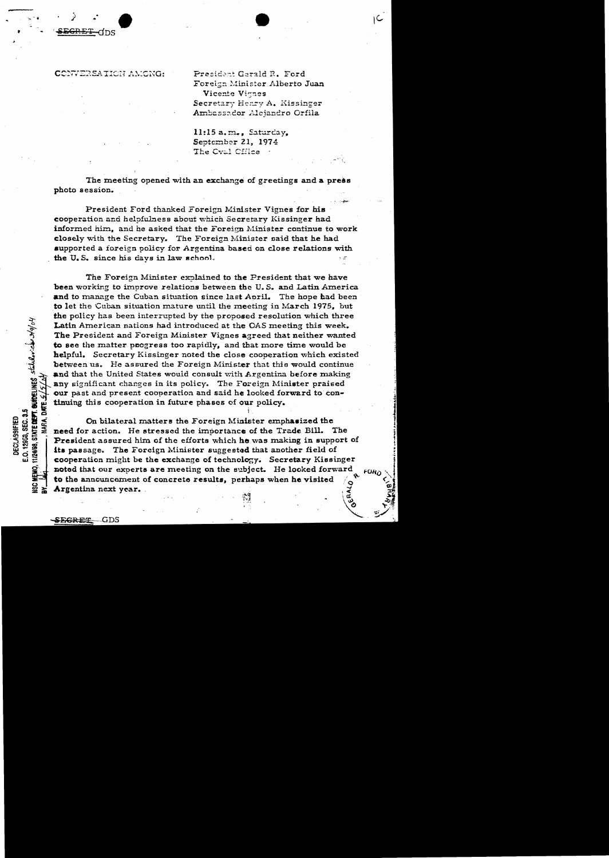-ans

President Gerald R. Ford Foreign Minister Alberto Juan Vicente Vignes Secretary Henry A. Kissinger Ambassador Alejandro Orfila

11:15 a.m., Saturday, September 21, 1974 The Cval Cffice

The meeting opened with an exchange of greetings and a press photo session.

President Ford thanked Foreign Minister Vignes for his cooperation and helpfulness about which Secretary Kissinger had informed him, and he asked that the Foreign Minister continue to work closely with the Secretary. The Foreign Minister said that he had supported a foreign policy for Argentina based on close relations with the U.S. since his days in law school.

The Foreign Minister explained to the President that we have been working to improve relations between the U.S. and Latin America and to manage the Cuban situation since last April. The hope had been to let the Cuban situation mature until the meeting in March 1975, but the policy has been interrupted by the proposed resolution which three Latin American nations had introduced at the OAS meeting this week. The President and Foreign Minister Vignes agreed that neither wanted to see the matter progress too rapidly, and that more time would be helpful. Secretary Kissinger noted the close cooperation which existed between us. He assured the Foreign Minister that this would continue and that the United States would consult with Argentina before making any significant changes in its policy. The Foreign Minister praised our past and present cooperation and said he looked forward to continuing this cooperation in future phases of our policy.

On bilateral matters the Foreign Minister emphasized the need for action. He stressed the importance of the Trade Bill. The President assured him of the efforts which he was making in support of its passage. The Foreign Minister suggested that another field of cooperation might be the exchange of technology. Secretary Kissinger noted that our experts are meeting on the subject. He looked forward to the announcement of concrete results, perhaps when he visited Argentina next year.

11/2498, STATE DEPT. GUIDELINES statular.chr 249/01

E.O. 12953, SEC. 3.5 **DECLASSIFIED**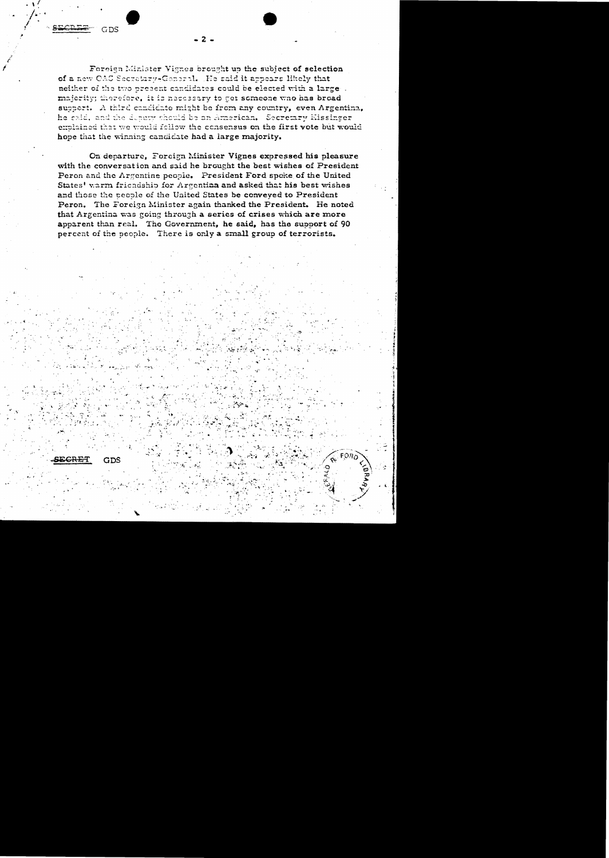GDS

Foreign Minister Vignes brought up the subject of selection of a new CAC Secretary-General. He said it appears likely that neither of the two present candidates could be elected with a large. majority; therefore, it is necessary to get someone who has broad support. A third candidate might be from any country, even Argentina, he said, and the deputy should be an American. Secretary Missinger explained that we would follow the consensus on the first vote but would hope that the winning candidate had a large majority.

 $2<sub>1</sub>$ 

On departure, Foreign Minister Vignes expressed his pleasure with the conversation and said he brought the best wishes of President Peron and the Argentine people. President Ford spoke of the United States' warm friendship for Argentian and asked that his best wishes and those the people of the United States be conveyed to President Peron. The Foreign Minister again thanked the President. He noted that Argentina was going through a series of crises which are more apparent than real. The Government, he said, has the support of 90 percent of the people. There is only a small group of terrorists.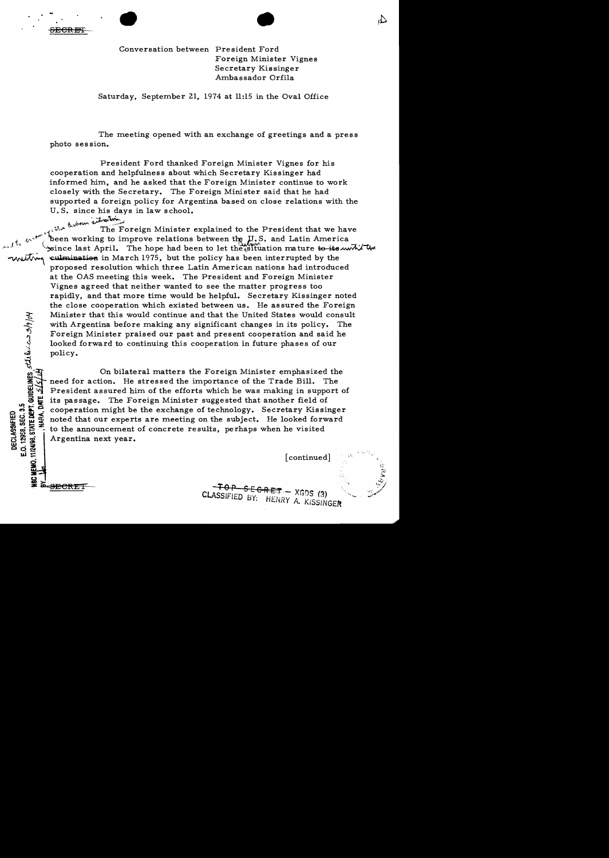SECR13Cf • • Conversation between President Ford Foreign Minister Vignes Secretary Kissinger Ambassador Orfila

Saturday, September 21, 1974 at 11:15 in the Oval Office

The meeting opened with an exchange of greetings and a press photo session.

President Ford thanked Foreign Minister Vignes for his cooperation and helpfulness about which Secretary Kissinger had informed him, and he asked that the Foreign Minister continue to work closely with the Secretary. The Foreign Minister said that he had supported a foreign policy for Argentina based on close relations with the U.S. since his days in law school.

anton sitrestore

~ c 

The Foreign Minister explained to the President that we have<br>the working to improve relations between the ILS and Letter Assembly been working to improve relations between the  $J.S.$  and Latin America since last April. The hope had been to let the situation mature to its will the culmination in March 1975, but the policy has been interrupted by the proposed resolution which three Latin American nations had introduced at the OAS meeting this week. The President and Foreign Minister Vignes agreed that neither wanted to see the matter progress too rapidly, and that more time would be helpful. Secretary Kissinger noted the close cooperation which existed between us. He assured the Foreign Minister that this would continue and that the United States would consult with Argentina before making any significant changes in its policy. The Foreign Minister praised our past and present cooperation and said he

Minister that this would continue and that the United States would correct with Argentina before making any significant changes in its policy.<br>
Foreign Minister praised our past and present cooperation and said looked forw On bilateral matters the Foreign Minister emphasized the ion. He stressed the importance of the Trade Bill. The  $\overrightarrow{v}$  need for action. He stressed the importance of the Trade Bill.<br>In President assured him of the efforts which he was making in sum President assured him of the efforts which he was making in support of Et its passage. The Foreign Minister suggested that another field of<br>  $\begin{array}{l}\n\bullet \\
\bullet \\
\bullet \\
\bullet \\
\bullet\n\end{array}$  cooperation might be the exchange of technology. Secretary Kissin<br>
Suggest moted that our experts are meeting on the subj cooperation might be the exchange of technology. Secretary Kissinger noted that our experts are meeting on the subject. He looked forward  $\sum_{n=1}^{\infty}$  is the announcement of concrete results, perhaps when he visited  $\sum_{n=1}^{\infty}$ Argentina next year.

 $\begin{bmatrix} \mathbf{u} & \mathbf{u} \\ \mathbf{v} & \mathbf{v} \end{bmatrix}$  [continued] continued]

,,;""! ... ~

 $\Lambda$ 

 $-70P - SEERET - XGDS(3)$ CLASSIFIED BY: HENRY A. KISSINGER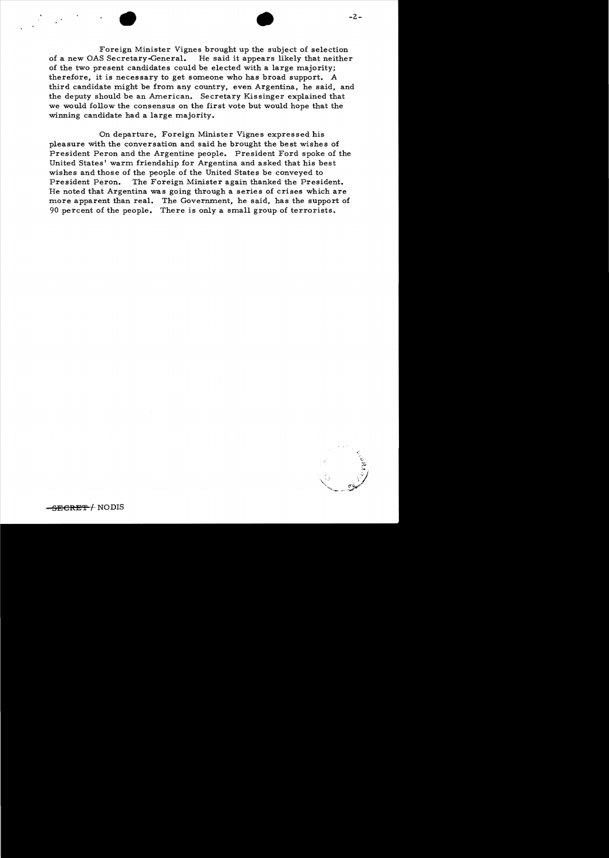• • -2 Foreign Minister Vignes brought up the subject of selection of a new OAS Secretary-General. He said it appears likely that neither of the two present candidates could be elected with a large majority; therefore, it is necessary to get someone who has broad support. A third candidate might be from any country, even Argentina, he said, and the deputy should be an American. Secretary Kissinger explained that we would follow the consensus on the first vote but would hope that the winning candidate had a large majority.

On departure, Foreign Minister Vignes expressed his pleasure with the conversation and said he brought the best wishes of President Peron and the Argentine people. President Ford spoke of the United States' warm friendship for Argentina and asked that his best wishes and those of the people of the United States be conveyed to<br>President Peron. The Foreign Minister again thanked the President The Foreign Minister again thanked the President. He noted that Argentina was going through a series of crises which are more apparent than real. The Government, he said, has the support of 90 percent of the people. There is only a small group of terrorists.



SECRET / NODIS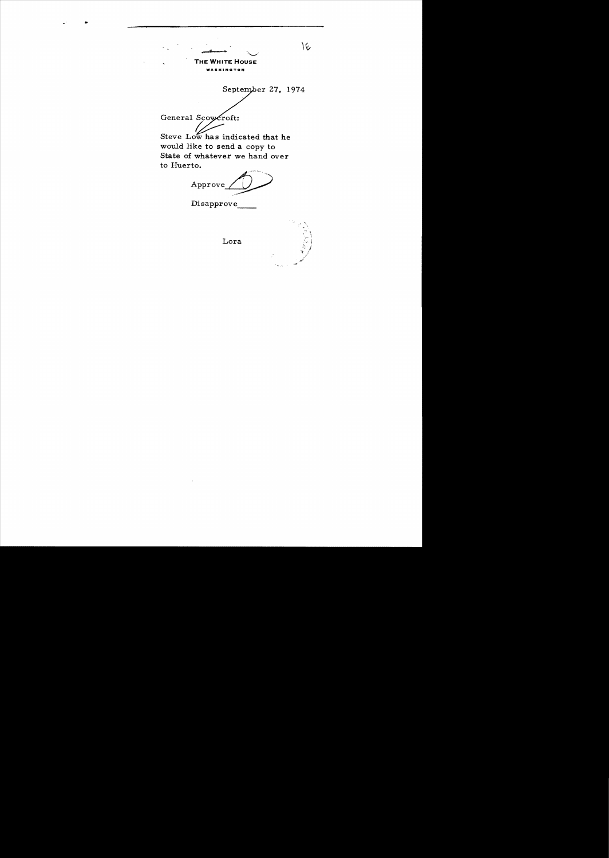

#### **THE WHITE HOUSE**

**NOTON** 

September 27, 1974 General Scowcroft: Steve Low has indicated that he would like to send a copy to State of whatever we hand over to Huerto.

Approve

Disapprove

### Lora



١¢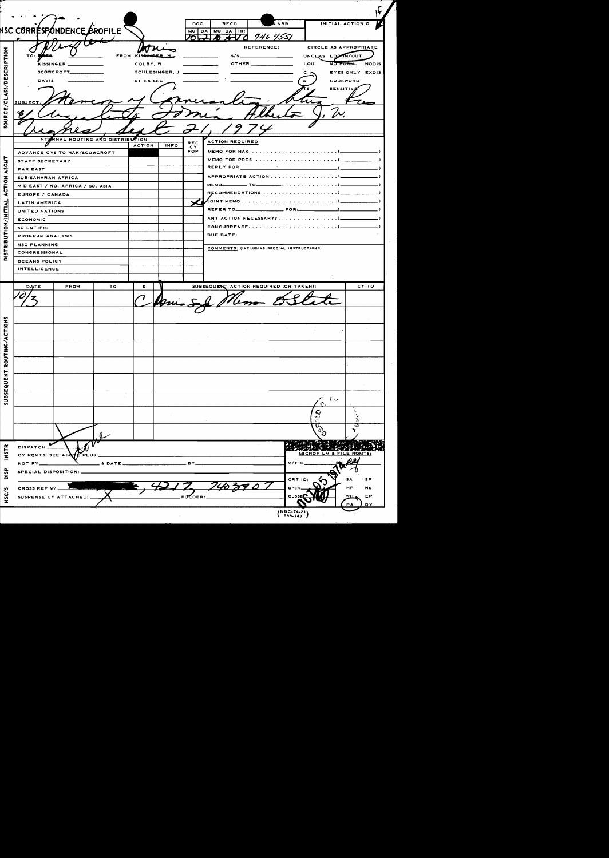|                                       |                                  |         |                    |                          | <b>DOC</b>        | <b>RECD</b>                                | <b>NBR</b>          |                         | INITIAL ACTION O      |
|---------------------------------------|----------------------------------|---------|--------------------|--------------------------|-------------------|--------------------------------------------|---------------------|-------------------------|-----------------------|
|                                       | NSC CORRÉSPONDENCE EROFILE       |         |                    |                          | パーユ               | MO DA MO DA HR                             | 70 <i>140 4551</i>  |                         |                       |
|                                       |                                  |         |                    |                          |                   |                                            | REFERENCE:          |                         | CIRCLE AS APPROPRIATE |
| TO: <b>TAES</b>                       |                                  |         | FROM: KISSINGER.H. |                          |                   |                                            |                     | UNCLAS LOGAN/OUT        |                       |
|                                       | KISSINGER ___________            |         | COLBY, W           |                          |                   |                                            | OTHER______________ | LOU                     | NO FORM NODIS         |
|                                       | SCOWCROFT__________              |         |                    | SCHLESINGER, J _________ |                   |                                            |                     |                         | EYES ONLY EXDIS       |
| <b>DAVIS</b>                          |                                  |         | ST EX SEC          |                          |                   |                                            |                     |                         | CODEWORD              |
|                                       |                                  |         |                    |                          |                   |                                            |                     |                         | <b>SENSITIVE</b>      |
| SUBJECT:                              |                                  |         |                    |                          |                   |                                            |                     |                         |                       |
|                                       |                                  |         |                    |                          |                   |                                            |                     |                         |                       |
|                                       |                                  |         |                    |                          |                   |                                            |                     | [N]                     |                       |
|                                       |                                  |         |                    |                          |                   |                                            |                     |                         |                       |
| <b>INTI</b>                           | RNAL ROUTING AND DISTRIBUTION    |         |                    |                          |                   |                                            |                     |                         |                       |
|                                       |                                  |         | <b>ACTION</b>      | <b>INFO</b>              | <b>REC</b><br>CY. | <b>ACTION REQUIRED</b>                     |                     |                         |                       |
|                                       | ADVANCE CYS TO HAK/SCOWCROFT     |         |                    |                          | FOR               |                                            |                     |                         |                       |
| STAFF SECRETARY                       |                                  |         |                    |                          |                   |                                            |                     |                         |                       |
| <b>FAR EAST</b>                       |                                  |         |                    |                          |                   |                                            |                     |                         |                       |
| SUB-SAHARAN AFRICA                    |                                  |         |                    |                          |                   |                                            |                     |                         |                       |
|                                       | MID EAST / NO. AFRICA / SO. ASIA |         |                    |                          |                   |                                            |                     |                         |                       |
| EUROPE / CANADA                       |                                  |         |                    |                          |                   |                                            |                     |                         |                       |
| LATIN AMERICA                         |                                  |         |                    |                          |                   |                                            |                     |                         |                       |
| UNITED NATIONS                        |                                  |         |                    |                          |                   |                                            |                     |                         |                       |
| <b>ECONOMIC</b>                       |                                  |         |                    |                          |                   |                                            |                     |                         |                       |
| <b>SCIENTIFIC</b><br>PROGRAM ANALYSIS |                                  |         |                    |                          |                   | DUE DATE:                                  |                     |                         |                       |
| <b>NSC PLANNING</b>                   |                                  |         |                    |                          |                   |                                            |                     |                         |                       |
| CONGRESSIONAL                         |                                  |         |                    |                          |                   | COMMENTS: (INCLUDING SPECIAL INSTRUCTIONS) |                     |                         |                       |
| OCEANS POLICY                         |                                  |         |                    |                          |                   |                                            |                     |                         |                       |
| <b>INTELLIGENCE</b>                   |                                  |         |                    |                          |                   |                                            |                     |                         |                       |
|                                       |                                  |         |                    |                          |                   |                                            |                     |                         |                       |
| <b>DATE</b>                           | <b>FROM</b>                      | то      | s.                 |                          |                   | SUBSEQUENT ACTION REQUIRED (OR TAKEN):     |                     |                         | CY TO                 |
|                                       |                                  |         |                    |                          |                   |                                            |                     |                         |                       |
|                                       |                                  |         |                    |                          |                   |                                            |                     |                         |                       |
|                                       |                                  |         |                    |                          |                   |                                            |                     |                         |                       |
|                                       |                                  |         |                    |                          |                   |                                            |                     |                         |                       |
|                                       |                                  |         |                    |                          |                   |                                            |                     |                         |                       |
|                                       |                                  |         |                    |                          |                   |                                            |                     |                         |                       |
|                                       |                                  |         | $\sim$             |                          |                   |                                            |                     |                         |                       |
|                                       |                                  |         |                    |                          |                   |                                            |                     |                         |                       |
|                                       |                                  |         |                    |                          |                   |                                            |                     |                         |                       |
|                                       |                                  |         |                    |                          |                   |                                            |                     |                         |                       |
|                                       |                                  |         |                    |                          |                   |                                            |                     |                         |                       |
|                                       |                                  |         |                    |                          |                   |                                            |                     |                         |                       |
|                                       |                                  |         |                    |                          |                   |                                            |                     |                         |                       |
|                                       |                                  |         |                    |                          |                   |                                            |                     | ドッ                      |                       |
|                                       |                                  |         |                    |                          |                   |                                            |                     |                         |                       |
|                                       |                                  |         |                    |                          |                   |                                            |                     | $\mathbb{Q}$            | ð.                    |
|                                       |                                  |         |                    |                          |                   |                                            |                     |                         | z                     |
|                                       |                                  |         |                    |                          |                   |                                            |                     |                         |                       |
| DISPATCH_                             | ∽                                |         |                    |                          |                   |                                            |                     |                         |                       |
|                                       | CY ROMTS: SEE ABOYE<br>FPLUS:    |         |                    |                          |                   |                                            |                     | MICROFILM & FILE ROMTS: |                       |
| NOTIFY_                               |                                  | & DATE_ |                    |                          |                   |                                            |                     | $M/F'D$ .               |                       |
|                                       | SPECIAL DISPOSITION:             |         |                    |                          |                   |                                            |                     |                         |                       |
|                                       |                                  |         |                    |                          |                   |                                            |                     | CRT ID:                 | <b>SF</b><br>SA       |
| CROSS REF W/                          |                                  |         |                    |                          |                   |                                            |                     | OPEN                    | HP<br><b>NS</b>       |
|                                       | SUSPENSE CY ATTACHED:            |         |                    |                          | FOLDER:           |                                            |                     | <b>CLOSE</b>            | EP<br>wн              |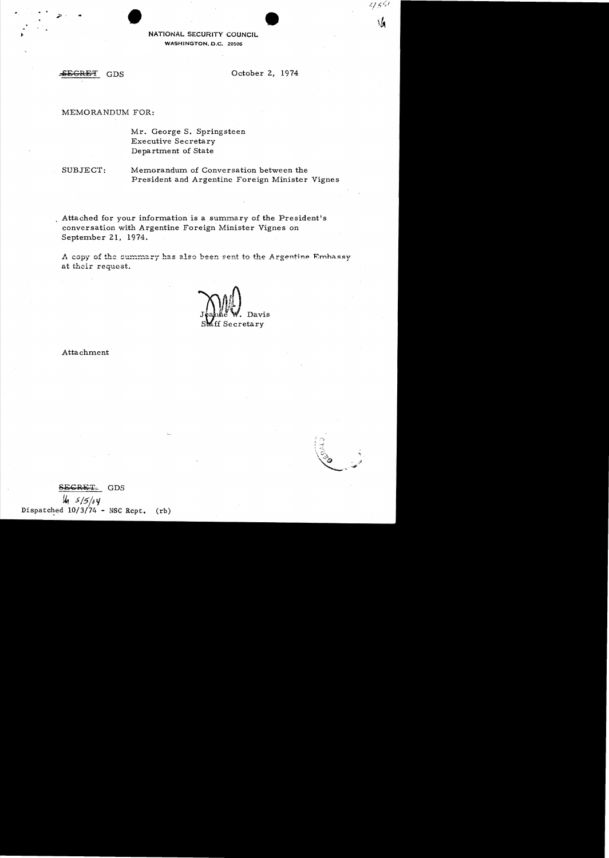. . ' • NATIONAL SECURITY COUNCIL WASHINGTON, D.C. 20506

### MEMORANDUM FOR:

Mr. George S. Springsteen Executive Secretary Department of State

SUBJECT: Memorandum of Conversation between the President and Argentine Foreign Minister Vignes

Attached for your information is a summary of the President's conversation with Argentine Foreign Minister Vignes on September 21, 1974.

A copy of the summary has also been sent to the Argentine Embassy at their request.

Davis<sup>1</sup> ff Secretary

Attachment



GDS  $u_1$  5/5/04. Dispatched  $10/3/74$  - NSC Rcpt. (rb)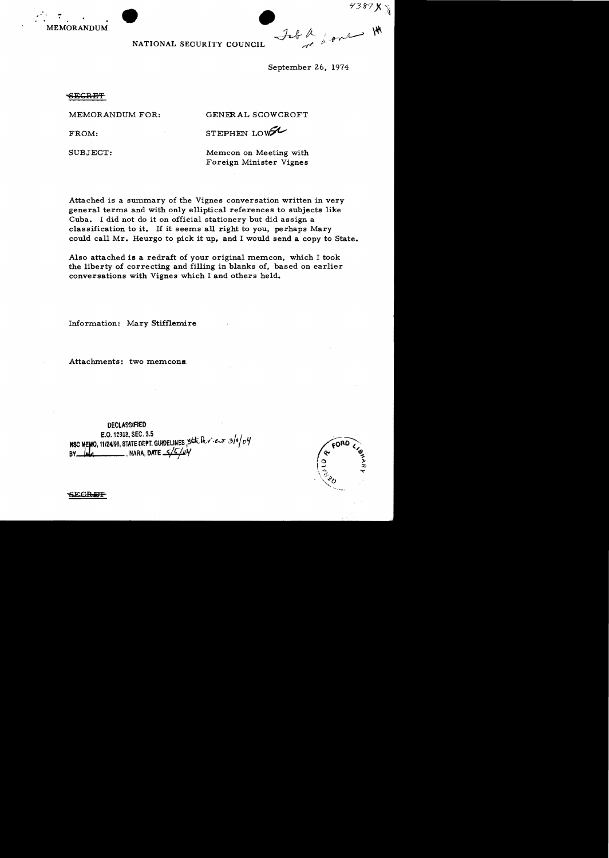

4387 **X** V fore H MEMORANDUM *-d-dr* /z-

NATIONAL SECURITY COUNCIL

September 26, 1974

<del>SECRET</del>

MEMORANDUM FOR: GENERAL SCOWCROFT

FROM: STEPHEN LOWEL

SUBJECT: Mem.con on Meeting with Foreign Minister Vignes

Attached is a summary of the Vignes conversation written in very general terms and with only elliptical references to subjects like Cuba. I did not do it on official stationery but did assign a classification to it. If it seems all right to you, perhaps Mary could call Mr. Heurgo to pick it up, and I would send a copy to State.

Also attached is a redraft of your original memcon, which I took the liberty of correcting and filling in blanks of, based on earlier conversations with Vignes which I and others held.

Information: Mary Stifflemire

Attachments: two memcons.

DECLASSIFIED E.O. 12958, SEC. 3.5 **NSC MEMO, 11/24198, STATE CEPT. GUIDELINES, SEAL MOVIEWS 319/04** BY **Jala** NARA, DATE 5/5/04



SE<del>CRET</del>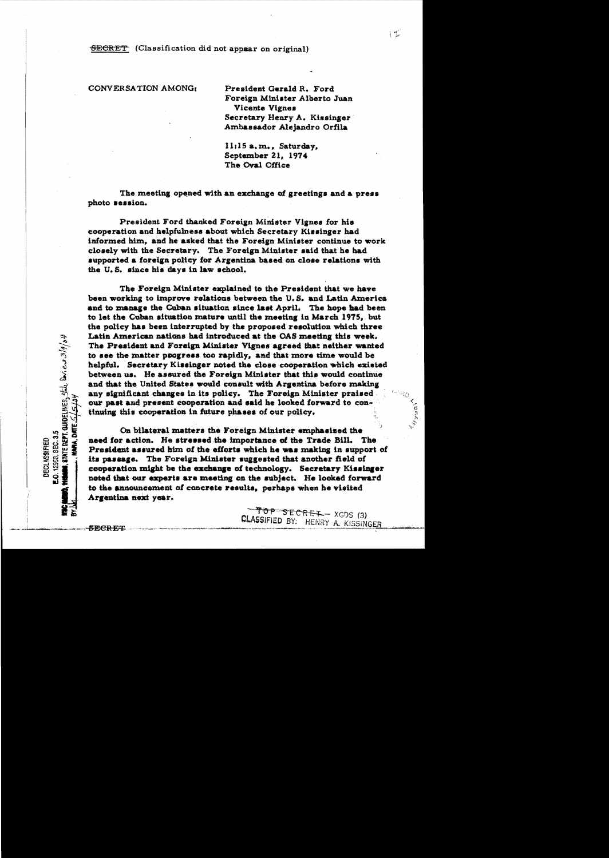## CONVERSATION AMONG:

President Gerald R. Ford Foreign Minister Alberto Juan Vicente Vignes Secretary Henry A. Kissinger Ambassador Alejandro Orfila

11:15 a.m., Saturday. September 21, 1974 The Oval Office

The meeting opened with an exchange of greetings and a press photo session.

President Ford thanked Foreign Minister Vignes for his cooperation and helpfulness about which Secretary Kissinger had informed him, and he asked that the Foreign Minister continue to work closely with the Secretary. The Foreign Minister said that he had aupported a foreign policy for Argentina based on close relations with the U.S. since his days in law school.

The Foreign Minister explained to the President that we have been working to improve relations between the U.S. and Latin America and to manage the Cuban situation since last April. The hope had been to let the Cuban situation mature until the meeting in March 1975, but the policy has been interrupted by the proposed resolution which three Latin American nations had introduced at the OAS meeting this week. The President and Foreign Minister Vignes agreed that neither wanted to see the matter progress too rapidly, and that more time would be helpful. Secretary Kissinger noted the close cooperation which existed between us. He assured the Foreign Minister that this would continue and that the United States would consult with Argentina before making any significant changes in its policy. The Foreign Minister praised. our past and present cooperation and said he looked forward to continuing this cooperation in future phases of our policy.

On bilateral matters the Foreign Minister emphasized the need for action. He stressed the importance of the Trade Bill. The President assured him of the efforts which he was making in support of its passage. The Foreign Minister suggested that another field of cooperation might be the exchange of technology. Secretary Kissinger noted that our experts are meeting on the subject. He looked forward to the announcement of concrete results, perhaps when he visited Argentina next year.

> $TOP-SECRE+ - XGDS(3)$ **CLASSIFIED BY:** HENRY A. KISSINGER

, STATE DEPT. GUIDELINES, Stile DAG ers 3/9/04

O. 12953, SEC. 3.5

**DECLASSIFIED** 

URA. DATE

 $\Big\} = \frac{1}{2} \sum_{i=1}^n \frac{1}{2} \sum_{i=1}^n \frac{1}{2} \sum_{i=1}^n \frac{1}{2} \sum_{i=1}^n \frac{1}{2} \sum_{i=1}^n \frac{1}{2} \sum_{i=1}^n \frac{1}{2} \sum_{i=1}^n \frac{1}{2} \sum_{i=1}^n \frac{1}{2} \sum_{i=1}^n \frac{1}{2} \sum_{i=1}^n \frac{1}{2} \sum_{i=1}^n \frac{1}{2} \sum_{i=1}^n \frac{1}{2} \sum_{i=1}^n \frac{1}{2}$ 

Heud)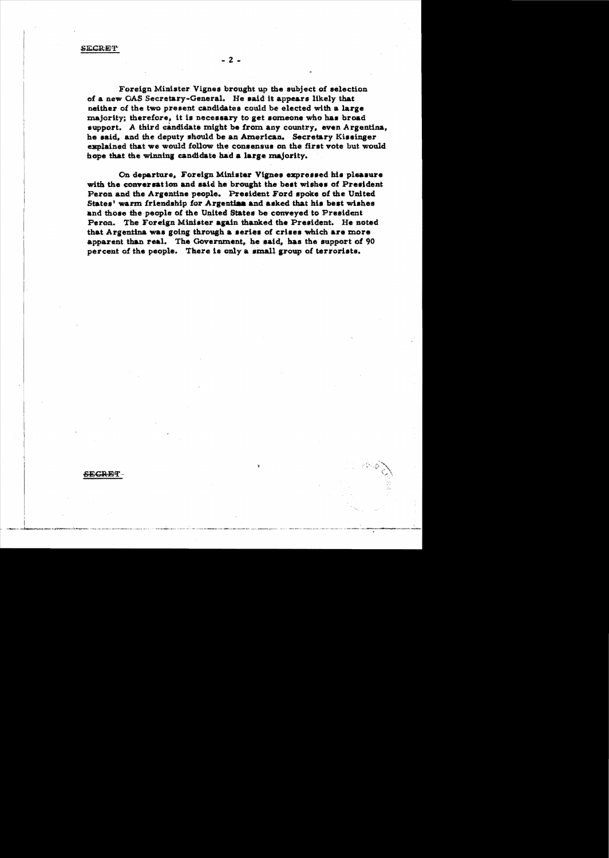$-2-$ 

Foreign Minister Vignes brought up the subject of selection of a new OAS Secretary-General. He said it appears likely that neither of the two present candidates could be elected with a large majority; therefore, it is necessary to get someone who has broad support. A third candidate might be from any country, even Argentina. he said, and the deputy should be an American. Secretary Kissinger explained that we would follow the consensus on the first vote but would hope that the winning candidate had a large majority.

On departure, Foreign Minister Vignes expressed his pleasure with the conversation and said he brought the best wishes of President Peron and the Argentine people. President Ford spoke of the United States' warm friendship for Argentian and asked that his best wishes and those the people of the United States be conveved to President Peron. The Foreign Minister again thanked the President. He noted that Argentina was going through a series of crises which are more apparent than real. The Government, he said, has the support of 90 percent of the people. There is only a small group of terrorists.

SEGRET-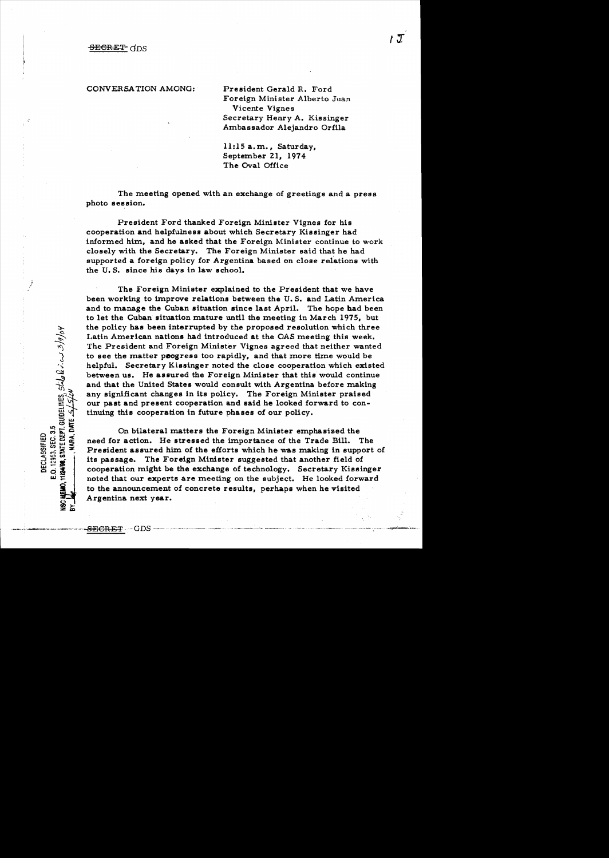CONVERSATION AMONG: President Gerald R. Ford

Foreign Minister Alberto Juan Vicente Vignes Secretary Henry A. Kissinger Ambassador Alejandro Orfila

 $11:15$  a.m., Saturday, September 21, 1974 The Oval Office

The meeting opened with an exchange of greetings and a press photo session.

President Ford thanked Foreign Minister Vignes for his cooperation and helpfulness about which Secretary Kissinger had informed him, and he asked that the Foreign Minister continue to work closely with the Secretary. The Foreign Minister said that he had supported a foreign policy for Argentina based on close relations with the U. S. since his days in law school.

The Foreign Minister explained to the President that we have been working to improve relations between the U.S. and Latin America and to manage the Cuban situation since last April. The hope had been to let the Cuban situation mature until the meeting in March 1975, but the policy has been interrupted by the proposed resolution which three Latin American nations had introduced at the OAS meeting this week. The President and Foreign Minister Vignes agreed that neither wanted to see the matter peogress too rapidly, and that more time would be helpful. Secretary Kissinger noted the close cooperation which existed between us. He assured the Foreign Minister that this would continue and that the United States would consult with Argentina before making any significant changes in its policy. The Foreign Minister praised our past and present cooperation and said he looked forward to continuing this cooperation in future phases of our policy.

On bilateral matters the Foreign Minister emphasized the need for action. He stressed the importance of the Trade Bill. The President assured him of the efforts which he was making in support of its passage. The Foreign Minister suggested that another field of cooperation might be the exchange of technology. Secretary Kissinger noted that our experts are meeting on the subject. He looked forward to the announcement of concrete results, perhaps when he visited Argentina next year.

E.O. 12953, SEC. 3.5<br>11/24/98, STATE DEPT. GUIDELINES, SILLO R. C. C. 2/9/04

DECLASSIFIED

HARA.DAT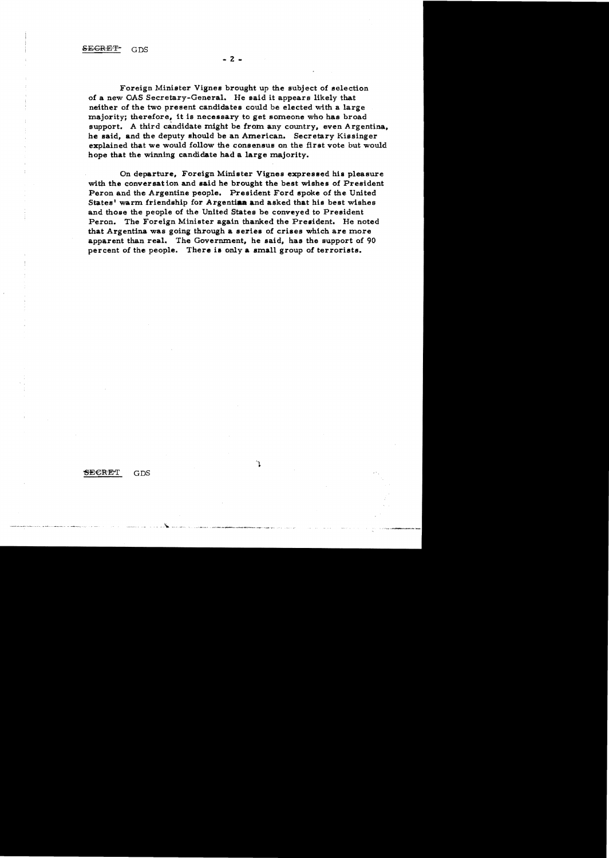SECRET

 $GDS$ 

Foreign Minister Vignes brought up the subject of selection of a new OAS Secretary-General. He said it appears likely that neither of the two present candidates could be elected with a large majority; therefore, it is necessary to get someone who has broad support. A third candidate might be from any country, even Argentina, he said, and the deputy should be an American. Secretary Kissinger explained that we would follow the consensus on the first vote but would hope that the winning candidate had a large majority.

On departure, Foreign Minister Vignes expressed his pleasure with the conversation and said he brought the best wishes of President Peron and the Argentine people. President Ford spoke of the United States' warm friendship for Argentina and asked that his best wishes and those the people of the United States be conveyed to President Peron. The Foreign Minister again thanked the President. He noted that Argentina was going through a series of crises which are more apparent than real. The Government, he said, has the support of 90 percent of the people. There is only a small group of terrorists.

٦

### $-2 -$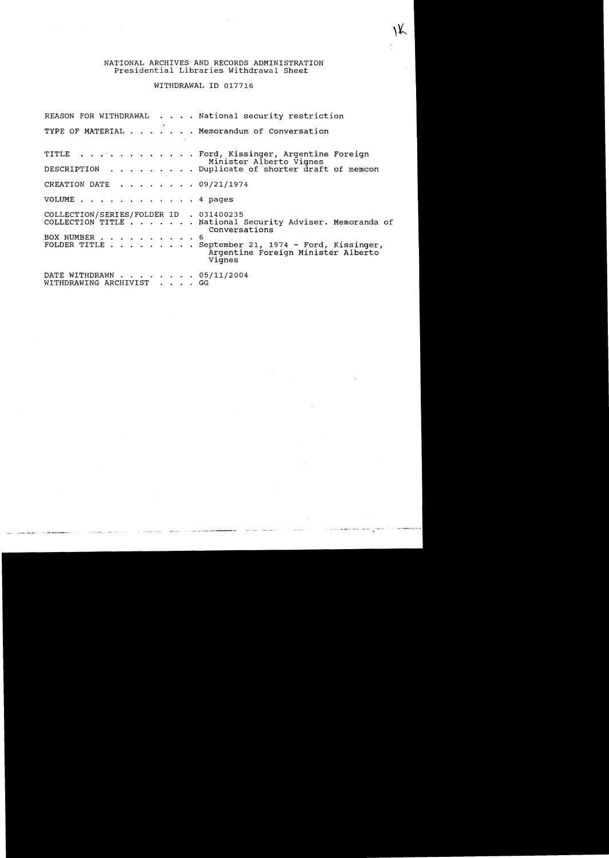# NATIONAL ARCHIVES AND RECORDS ADMINISTRATION Presidential Libraries withdrawal Sheet

WITHDRAWAL ID 017716

|                                                       | REASON FOR WITHDRAWAL National security restriction                                                |  |
|-------------------------------------------------------|----------------------------------------------------------------------------------------------------|--|
|                                                       | TYPE OF MATERIAL Memorandum of Conversation                                                        |  |
|                                                       | TITLE Ford, Kissinger, Argentine Foreign<br>Minister Alberto Vignes                                |  |
|                                                       | DESCRIPTION Duplicate of shorter draft of memcon                                                   |  |
| CREATION DATE $\ldots$ , $\ldots$ , 09/21/1974        |                                                                                                    |  |
| VOLUME 4 pages                                        |                                                                                                    |  |
| COLLECTION/SERIES/FOLDER ID . 031400235               |                                                                                                    |  |
|                                                       | COLLECTION TITLE National Security Adviser. Memoranda of<br>Conversations                          |  |
| BOX NUMBER 6                                          |                                                                                                    |  |
|                                                       | FOLDER TITLE September 21, 1974 - Ford, Kissinger,<br>Argentine Foreign Minister Alberto<br>Vignes |  |
| DATE WITHDRAWN 05/11/2004<br>WITHDRAWING ARCHIVIST GG |                                                                                                    |  |